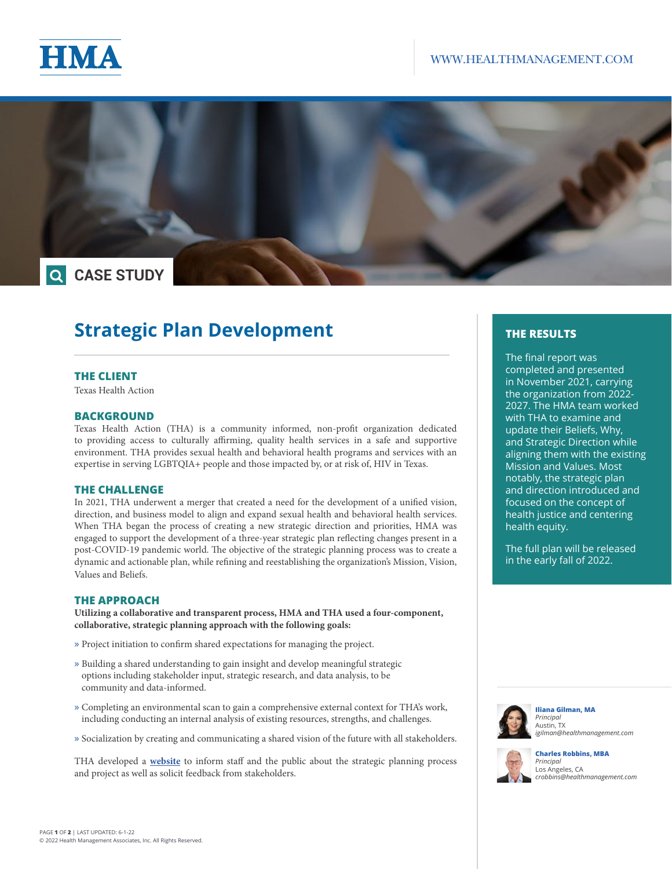



# **Strategic Plan Development**

### **THE CLIENT**

Texas Health Action

### **BACKGROUND**

Texas Health Action (THA) is a community informed, non-profit organization dedicated to providing access to culturally affirming, quality health services in a safe and supportive environment. THA provides sexual health and behavioral health programs and services with an expertise in serving LGBTQIA+ people and those impacted by, or at risk of, HIV in Texas.

### **THE CHALLENGE**

In 2021, THA underwent a merger that created a need for the development of a unified vision, direction, and business model to align and expand sexual health and behavioral health services. When THA began the process of creating a new strategic direction and priorities, HMA was engaged to support the development of a three-year strategic plan reflecting changes present in a post-COVID-19 pandemic world. The objective of the strategic planning process was to create a dynamic and actionable plan, while refining and reestablishing the organization's Mission, Vision, Values and Beliefs.

### **THE APPROACH**

**Utilizing a collaborative and transparent process, HMA and THA used a four-component, collaborative, strategic planning approach with the following goals:** 

- » Project initiation to confirm shared expectations for managing the project.
- » Building a shared understanding to gain insight and develop meaningful strategic options including stakeholder input, strategic research, and data analysis, to be community and data-informed.
- » Completing an environmental scan to gain a comprehensive external context for THA's work, including conducting an internal analysis of existing resources, strengths, and challenges.
- » Socialization by creating and communicating a shared vision of the future with all stakeholders.

THA developed a **[website](https://texashealthaction.org/strategic-planning/)** to inform staff and the public about the strategic planning process and project as well as solicit feedback from stakeholders.

# **THE RESULTS**

The final report was completed and presented in November 2021, carrying the organization from 2022- 2027. The HMA team worked with THA to examine and update their Beliefs, Why, and Strategic Direction while aligning them with the existing Mission and Values. Most notably, the strategic plan and direction introduced and focused on the concept of health justice and centering health equity.

The full plan will be released in the early fall of 2022.



**Iliana Gilman, MA** *Principal* Austin, TX *[igilman@healthmanagement.com](https://www.healthmanagement.com/our-team/staff-directory/name/iliana-gilman/)*



**Charles Robbins, MBA** *Principal* Los Angeles, CA *[crobbins@healthmanagement.com](https://www.healthmanagement.com/our-team/staff-directory/name/charles-robbins/)*